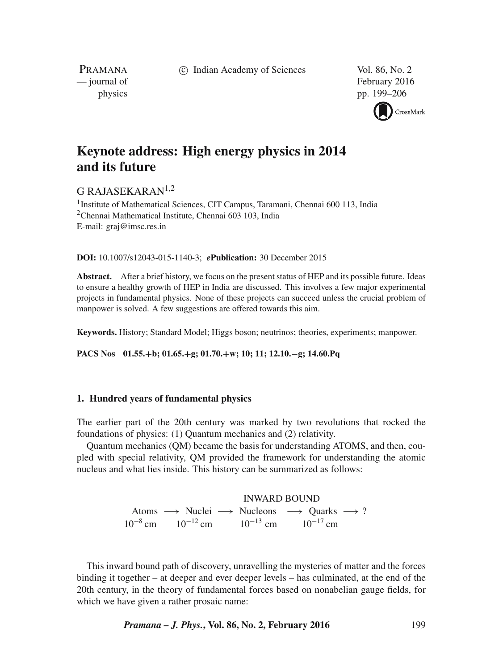c Indian Academy of Sciences Vol. 86, No. 2

PRAMANA<br>
— journal of

February 2016 physics pp. 199–206



# **Keynote address: High energy physics in 2014 and its future**

## G RAJASEKARAN $1,2$

<sup>1</sup> Institute of Mathematical Sciences, CIT Campus, Taramani, Chennai 600 113, India  $2$ Chennai Mathematical Institute, Chennai 603 103, India E-mail: graj@imsc.res.in

**DOI:** 10.1007/s12043-015-1140-3; *e***Publication:** 30 December 2015

**Abstract.** After a brief history, we focus on the present status of HEP and its possible future. Ideas to ensure a healthy growth of HEP in India are discussed. This involves a few major experimental projects in fundamental physics. None of these projects can succeed unless the crucial problem of manpower is solved. A few suggestions are offered towards this aim.

**Keywords.** History; Standard Model; Higgs boson; neutrinos; theories, experiments; manpower.

**PACS Nos 01.55.**+**b; 01.65.**+**g; 01.70.**+**w; 10; 11; 12.10.**−**g; 14.60.Pq**

#### **1. Hundred years of fundamental physics**

The earlier part of the 20th century was marked by two revolutions that rocked the foundations of physics: (1) Quantum mechanics and (2) relativity.

Quantum mechanics (QM) became the basis for understanding ATOMS, and then, coupled with special relativity, QM provided the framework for understanding the atomic nucleus and what lies inside. This history can be summarized as follows:

> INWARD BOUND Atoms −→ Nuclei −→ Nucleons −→ Quarks −→ ?  $10^{-8}$  cm  $10^{-12}$  cm  $10^{-13}$  cm  $10^{-17}$  cm

This inward bound path of discovery, unravelling the mysteries of matter and the forces binding it together – at deeper and ever deeper levels – has culminated, at the end of the 20th century, in the theory of fundamental forces based on nonabelian gauge fields, for which we have given a rather prosaic name: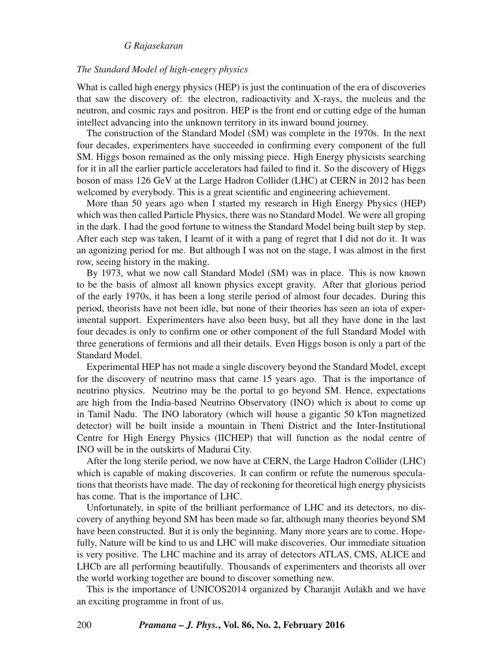#### *The Standard Model of high-enegry physics*

What is called high energy physics (HEP) is just the continuation of the era of discoveries that saw the discovery of: the electron, radioactivity and X-rays, the nucleus and the neutron, and cosmic rays and positron. HEP is the front end or cutting edge of the human intellect advancing into the unknown territory in its inward bound journey.

The construction of the Standard Model (SM) was complete in the 1970s. In the next four decades, experimenters have succeeded in confirming every component of the full SM. Higgs boson remained as the only missing piece. High Energy physicists searching for it in all the earlier particle accelerators had failed to find it. So the discovery of Higgs boson of mass 126 GeV at the Large Hadron Collider (LHC) at CERN in 2012 has been welcomed by everybody. This is a great scientific and engineering achievement.

More than 50 years ago when I started my research in High Energy Physics (HEP) which was then called Particle Physics, there was no Standard Model. We were all groping in the dark. I had the good fortune to witness the Standard Model being built step by step. After each step was taken, I learnt of it with a pang of regret that I did not do it. It was an agonizing period for me. But although I was not on the stage, I was almost in the first row, seeing history in the making.

By 1973, what we now call Standard Model (SM) was in place. This is now known to be the basis of almost all known physics except gravity. After that glorious period of the early 1970s, it has been a long sterile period of almost four decades. During this period, theorists have not been idle, but none of their theories has seen an iota of experimental support. Experimenters have also been busy, but all they have done in the last four decades is only to confirm one or other component of the full Standard Model with three generations of fermions and all their details. Even Higgs boson is only a part of the Standard Model.

Experimental HEP has not made a single discovery beyond the Standard Model, except for the discovery of neutrino mass that came 15 years ago. That is the importance of neutrino physics. Neutrino may be the portal to go beyond SM. Hence, expectations are high from the India-based Neutrino Observatory (INO) which is about to come up in Tamil Nadu. The INO laboratory (which will house a gigantic 50 kTon magnetized detector) will be built inside a mountain in Theni District and the Inter-Institutional Centre for High Energy Physics (IICHEP) that will function as the nodal centre of INO will be in the outskirts of Madurai City.

After the long sterile period, we now have at CERN, the Large Hadron Collider (LHC) which is capable of making discoveries. It can confirm or refute the numerous speculations that theorists have made. The day of reckoning for theoretical high energy physicists has come. That is the importance of LHC.

Unfortunately, in spite of the brilliant performance of LHC and its detectors, no discovery of anything beyond SM has been made so far, although many theories beyond SM have been constructed. But it is only the beginning. Many more years are to come. Hopefully, Nature will be kind to us and LHC will make discoveries. Our immediate situation is very positive. The LHC machine and its array of detectors ATLAS, CMS, ALICE and LHCb are all performing beautifully. Thousands of experimenters and theorists all over the world working together are bound to discover something new.

This is the importance of UNICOS2014 organized by Charanjit Aulakh and we have an exciting programme in front of us.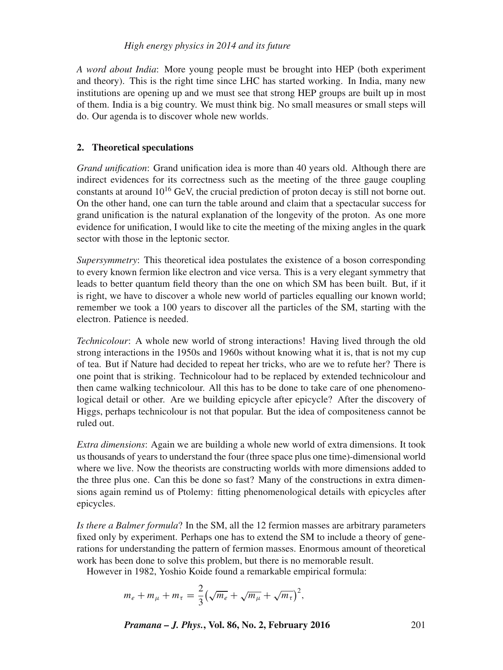## *High energy physics in 2014 and its future*

*A word about India*: More young people must be brought into HEP (both experiment and theory). This is the right time since LHC has started working. In India, many new institutions are opening up and we must see that strong HEP groups are built up in most of them. India is a big country. We must think big. No small measures or small steps will do. Our agenda is to discover whole new worlds.

## **2. Theoretical speculations**

*Grand unification*: Grand unification idea is more than 40 years old. Although there are indirect evidences for its correctness such as the meeting of the three gauge coupling constants at around  $10^{16}$  GeV, the crucial prediction of proton decay is still not borne out. On the other hand, one can turn the table around and claim that a spectacular success for grand unification is the natural explanation of the longevity of the proton. As one more evidence for unification, I would like to cite the meeting of the mixing angles in the quark sector with those in the leptonic sector.

*Supersymmetry*: This theoretical idea postulates the existence of a boson corresponding to every known fermion like electron and vice versa. This is a very elegant symmetry that leads to better quantum field theory than the one on which SM has been built. But, if it is right, we have to discover a whole new world of particles equalling our known world; remember we took a 100 years to discover all the particles of the SM, starting with the electron. Patience is needed.

*Technicolour*: A whole new world of strong interactions! Having lived through the old strong interactions in the 1950s and 1960s without knowing what it is, that is not my cup of tea. But if Nature had decided to repeat her tricks, who are we to refute her? There is one point that is striking. Technicolour had to be replaced by extended technicolour and then came walking technicolour. All this has to be done to take care of one phenomenological detail or other. Are we building epicycle after epicycle? After the discovery of Higgs, perhaps technicolour is not that popular. But the idea of compositeness cannot be ruled out.

*Extra dimensions*: Again we are building a whole new world of extra dimensions. It took us thousands of years to understand the four (three space plus one time)-dimensional world where we live. Now the theorists are constructing worlds with more dimensions added to the three plus one. Can this be done so fast? Many of the constructions in extra dimensions again remind us of Ptolemy: fitting phenomenological details with epicycles after epicycles.

*Is there a Balmer formula*? In the SM, all the 12 fermion masses are arbitrary parameters fixed only by experiment. Perhaps one has to extend the SM to include a theory of generations for understanding the pattern of fermion masses. Enormous amount of theoretical work has been done to solve this problem, but there is no memorable result.

However in 1982, Yoshio Koide found a remarkable empirical formula:

$$
m_e + m_\mu + m_\tau = \frac{2}{3} \left( \sqrt{m_e} + \sqrt{m_\mu} + \sqrt{m_\tau} \right)^2,
$$

*Pramana – J. Phys.***, Vol. 86, No. 2, February 2016** 201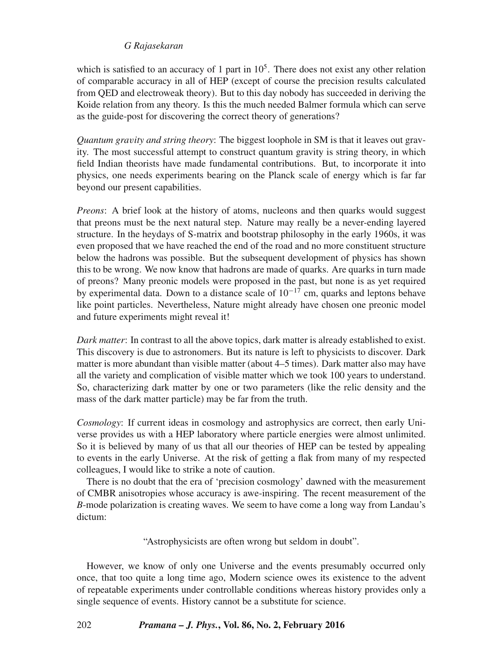which is satisfied to an accuracy of 1 part in  $10<sup>5</sup>$ . There does not exist any other relation of comparable accuracy in all of HEP (except of course the precision results calculated from QED and electroweak theory). But to this day nobody has succeeded in deriving the Koide relation from any theory. Is this the much needed Balmer formula which can serve as the guide-post for discovering the correct theory of generations?

*Quantum gra*v*ity and string theory*: The biggest loophole in SM is that it leaves out gravity. The most successful attempt to construct quantum gravity is string theory, in which field Indian theorists have made fundamental contributions. But, to incorporate it into physics, one needs experiments bearing on the Planck scale of energy which is far far beyond our present capabilities.

*Preons*: A brief look at the history of atoms, nucleons and then quarks would suggest that preons must be the next natural step. Nature may really be a never-ending layered structure. In the heydays of S-matrix and bootstrap philosophy in the early 1960s, it was even proposed that we have reached the end of the road and no more constituent structure below the hadrons was possible. But the subsequent development of physics has shown this to be wrong. We now know that hadrons are made of quarks. Are quarks in turn made of preons? Many preonic models were proposed in the past, but none is as yet required by experimental data. Down to a distance scale of  $10^{-17}$  cm, quarks and leptons behave like point particles. Nevertheless, Nature might already have chosen one preonic model and future experiments might reveal it!

*Dark matter*: In contrast to all the above topics, dark matter is already established to exist. This discovery is due to astronomers. But its nature is left to physicists to discover. Dark matter is more abundant than visible matter (about 4–5 times). Dark matter also may have all the variety and complication of visible matter which we took 100 years to understand. So, characterizing dark matter by one or two parameters (like the relic density and the mass of the dark matter particle) may be far from the truth.

*Cosmology*: If current ideas in cosmology and astrophysics are correct, then early Universe provides us with a HEP laboratory where particle energies were almost unlimited. So it is believed by many of us that all our theories of HEP can be tested by appealing to events in the early Universe. At the risk of getting a flak from many of my respected colleagues, I would like to strike a note of caution.

There is no doubt that the era of 'precision cosmology' dawned with the measurement of CMBR anisotropies whose accuracy is awe-inspiring. The recent measurement of the *B*-mode polarization is creating waves. We seem to have come a long way from Landau's dictum:

"Astrophysicists are often wrong but seldom in doubt".

However, we know of only one Universe and the events presumably occurred only once, that too quite a long time ago, Modern science owes its existence to the advent of repeatable experiments under controllable conditions whereas history provides only a single sequence of events. History cannot be a substitute for science.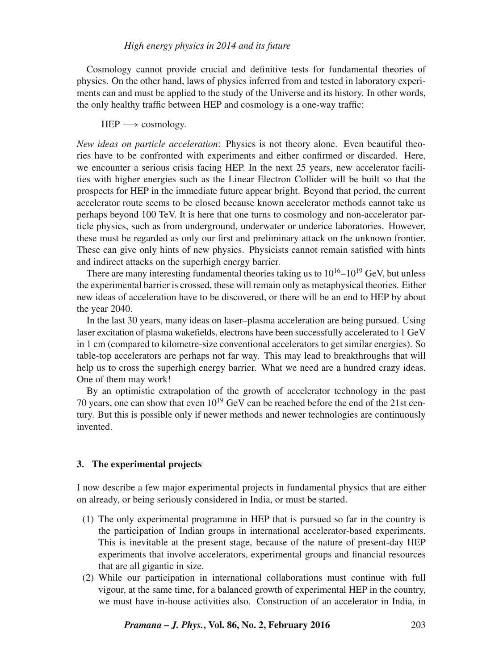Cosmology cannot provide crucial and definitive tests for fundamental theories of physics. On the other hand, laws of physics inferred from and tested in laboratory experiments can and must be applied to the study of the Universe and its history. In other words, the only healthy traffic between HEP and cosmology is a one-way traffic:

#### $HEP \longrightarrow$  cosmology.

*New ideas on particle acceleration*: Physics is not theory alone. Even beautiful theories have to be confronted with experiments and either confirmed or discarded. Here, we encounter a serious crisis facing HEP. In the next 25 years, new accelerator facilities with higher energies such as the Linear Electron Collider will be built so that the prospects for HEP in the immediate future appear bright. Beyond that period, the current accelerator route seems to be closed because known accelerator methods cannot take us perhaps beyond 100 TeV. It is here that one turns to cosmology and non-accelerator particle physics, such as from underground, underwater or underice laboratories. However, these must be regarded as only our first and preliminary attack on the unknown frontier. These can give only hints of new physics. Physicists cannot remain satisfied with hints and indirect attacks on the superhigh energy barrier.

There are many interesting fundamental theories taking us to  $10^{16}$ – $10^{19}$  GeV, but unless the experimental barrier is crossed, these will remain only as metaphysical theories. Either new ideas of acceleration have to be discovered, or there will be an end to HEP by about the year 2040.

In the last 30 years, many ideas on laser–plasma acceleration are being pursued. Using laser excitation of plasma wakefields, electrons have been successfully accelerated to 1 GeV in 1 cm (compared to kilometre-size conventional accelerators to get similar energies). So table-top accelerators are perhaps not far way. This may lead to breakthroughs that will help us to cross the superhigh energy barrier. What we need are a hundred crazy ideas. One of them may work!

By an optimistic extrapolation of the growth of accelerator technology in the past 70 years, one can show that even  $10^{19}$  GeV can be reached before the end of the 21st century. But this is possible only if newer methods and newer technologies are continuously invented.

#### **3. The experimental projects**

I now describe a few major experimental projects in fundamental physics that are either on already, or being seriously considered in India, or must be started.

- (1) The only experimental programme in HEP that is pursued so far in the country is the participation of Indian groups in international accelerator-based experiments. This is inevitable at the present stage, because of the nature of present-day HEP experiments that involve accelerators, experimental groups and financial resources that are all gigantic in size.
- (2) While our participation in international collaborations must continue with full vigour, at the same time, for a balanced growth of experimental HEP in the country, we must have in-house activities also. Construction of an accelerator in India, in

*Pramana – J. Phys.***, Vol. 86, No. 2, February 2016** 203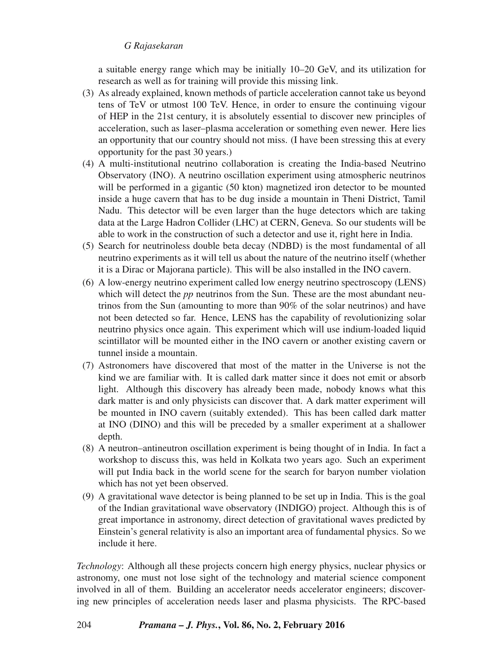a suitable energy range which may be initially 10–20 GeV, and its utilization for research as well as for training will provide this missing link.

- (3) As already explained, known methods of particle acceleration cannot take us beyond tens of TeV or utmost 100 TeV. Hence, in order to ensure the continuing vigour of HEP in the 21st century, it is absolutely essential to discover new principles of acceleration, such as laser–plasma acceleration or something even newer. Here lies an opportunity that our country should not miss. (I have been stressing this at every opportunity for the past 30 years.)
- (4) A multi-institutional neutrino collaboration is creating the India-based Neutrino Observatory (INO). A neutrino oscillation experiment using atmospheric neutrinos will be performed in a gigantic (50 kton) magnetized iron detector to be mounted inside a huge cavern that has to be dug inside a mountain in Theni District, Tamil Nadu. This detector will be even larger than the huge detectors which are taking data at the Large Hadron Collider (LHC) at CERN, Geneva. So our students will be able to work in the construction of such a detector and use it, right here in India.
- (5) Search for neutrinoless double beta decay (NDBD) is the most fundamental of all neutrino experiments as it will tell us about the nature of the neutrino itself (whether it is a Dirac or Majorana particle). This will be also installed in the INO cavern.
- (6) A low-energy neutrino experiment called low energy neutrino spectroscopy (LENS) which will detect the *pp* neutrinos from the Sun. These are the most abundant neutrinos from the Sun (amounting to more than 90% of the solar neutrinos) and have not been detected so far. Hence, LENS has the capability of revolutionizing solar neutrino physics once again. This experiment which will use indium-loaded liquid scintillator will be mounted either in the INO cavern or another existing cavern or tunnel inside a mountain.
- (7) Astronomers have discovered that most of the matter in the Universe is not the kind we are familiar with. It is called dark matter since it does not emit or absorb light. Although this discovery has already been made, nobody knows what this dark matter is and only physicists can discover that. A dark matter experiment will be mounted in INO cavern (suitably extended). This has been called dark matter at INO (DINO) and this will be preceded by a smaller experiment at a shallower depth.
- (8) A neutron–antineutron oscillation experiment is being thought of in India. In fact a workshop to discuss this, was held in Kolkata two years ago. Such an experiment will put India back in the world scene for the search for baryon number violation which has not yet been observed.
- (9) A gravitational wave detector is being planned to be set up in India. This is the goal of the Indian gravitational wave observatory (INDIGO) project. Although this is of great importance in astronomy, direct detection of gravitational waves predicted by Einstein's general relativity is also an important area of fundamental physics. So we include it here.

*Technology*: Although all these projects concern high energy physics, nuclear physics or astronomy, one must not lose sight of the technology and material science component involved in all of them. Building an accelerator needs accelerator engineers; discovering new principles of acceleration needs laser and plasma physicists. The RPC-based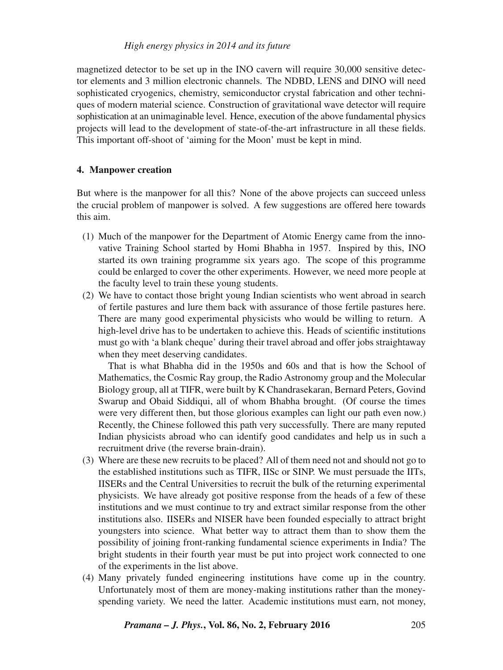magnetized detector to be set up in the INO cavern will require 30,000 sensitive detector elements and 3 million electronic channels. The NDBD, LENS and DINO will need sophisticated cryogenics, chemistry, semiconductor crystal fabrication and other techniques of modern material science. Construction of gravitational wave detector will require sophistication at an unimaginable level. Hence, execution of the above fundamental physics projects will lead to the development of state-of-the-art infrastructure in all these fields. This important off-shoot of 'aiming for the Moon' must be kept in mind.

## **4. Manpower creation**

But where is the manpower for all this? None of the above projects can succeed unless the crucial problem of manpower is solved. A few suggestions are offered here towards this aim.

- (1) Much of the manpower for the Department of Atomic Energy came from the innovative Training School started by Homi Bhabha in 1957. Inspired by this, INO started its own training programme six years ago. The scope of this programme could be enlarged to cover the other experiments. However, we need more people at the faculty level to train these young students.
- (2) We have to contact those bright young Indian scientists who went abroad in search of fertile pastures and lure them back with assurance of those fertile pastures here. There are many good experimental physicists who would be willing to return. A high-level drive has to be undertaken to achieve this. Heads of scientific institutions must go with 'a blank cheque' during their travel abroad and offer jobs straightaway when they meet deserving candidates.

That is what Bhabha did in the 1950s and 60s and that is how the School of Mathematics, the Cosmic Ray group, the Radio Astronomy group and the Molecular Biology group, all at TIFR, were built by K Chandrasekaran, Bernard Peters, Govind Swarup and Obaid Siddiqui, all of whom Bhabha brought. (Of course the times were very different then, but those glorious examples can light our path even now.) Recently, the Chinese followed this path very successfully. There are many reputed Indian physicists abroad who can identify good candidates and help us in such a recruitment drive (the reverse brain-drain).

- (3) Where are these new recruits to be placed? All of them need not and should not go to the established institutions such as TIFR, IISc or SINP. We must persuade the IITs, IISERs and the Central Universities to recruit the bulk of the returning experimental physicists. We have already got positive response from the heads of a few of these institutions and we must continue to try and extract similar response from the other institutions also. IISERs and NISER have been founded especially to attract bright youngsters into science. What better way to attract them than to show them the possibility of joining front-ranking fundamental science experiments in India? The bright students in their fourth year must be put into project work connected to one of the experiments in the list above.
- (4) Many privately funded engineering institutions have come up in the country. Unfortunately most of them are money-making institutions rather than the moneyspending variety. We need the latter. Academic institutions must earn, not money,